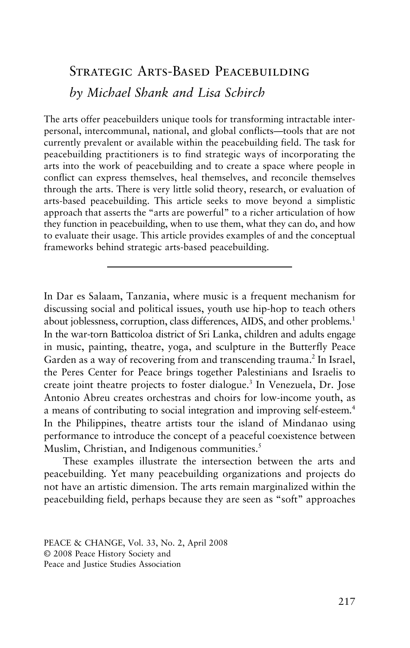# STRATEGIC ARTS-BASED PEACEBUILDING *by Michael Shank and Lisa Schirch*

The arts offer peacebuilders unique tools for transforming intractable interpersonal, intercommunal, national, and global conflicts—tools that are not currently prevalent or available within the peacebuilding field. The task for peacebuilding practitioners is to find strategic ways of incorporating the arts into the work of peacebuilding and to create a space where people in conflict can express themselves, heal themselves, and reconcile themselves through the arts. There is very little solid theory, research, or evaluation of arts-based peacebuilding. This article seeks to move beyond a simplistic approach that asserts the "arts are powerful" to a richer articulation of how they function in peacebuilding, when to use them, what they can do, and how to evaluate their usage. This article provides examples of and the conceptual frameworks behind strategic arts-based peacebuilding.

In Dar es Salaam, Tanzania, where music is a frequent mechanism for discussing social and political issues, youth use hip-hop to teach others about joblessness, corruption, class differences, AIDS, and other problems.<sup>1</sup> In the war-torn Batticoloa district of Sri Lanka, children and adults engage in music, painting, theatre, yoga, and sculpture in the Butterfly Peace Garden as a way of recovering from and transcending trauma.<sup>2</sup> In Israel, the Peres Center for Peace brings together Palestinians and Israelis to create joint theatre projects to foster dialogue.<sup>3</sup> In Venezuela, Dr. Jose Antonio Abreu creates orchestras and choirs for low-income youth, as a means of contributing to social integration and improving self-esteem.4 In the Philippines, theatre artists tour the island of Mindanao using performance to introduce the concept of a peaceful coexistence between Muslim, Christian, and Indigenous communities.<sup>5</sup>

These examples illustrate the intersection between the arts and peacebuilding. Yet many peacebuilding organizations and projects do not have an artistic dimension. The arts remain marginalized within the peacebuilding field, perhaps because they are seen as "soft" approaches

PEACE & CHANGE, Vol. 33, No. 2, April 2008 © 2008 Peace History Society and Peace and Justice Studies Association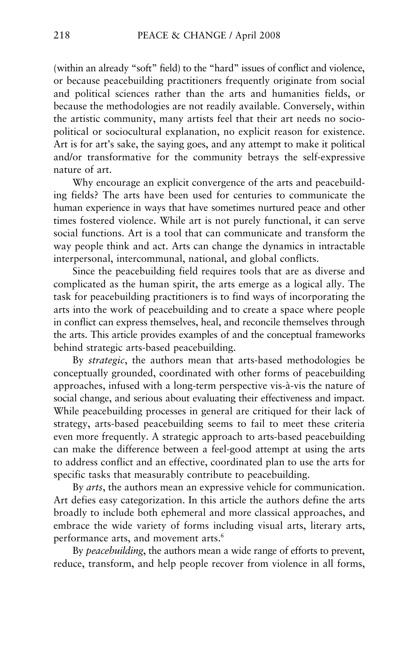(within an already "soft" field) to the "hard" issues of conflict and violence, or because peacebuilding practitioners frequently originate from social and political sciences rather than the arts and humanities fields, or because the methodologies are not readily available. Conversely, within the artistic community, many artists feel that their art needs no sociopolitical or sociocultural explanation, no explicit reason for existence. Art is for art's sake, the saying goes, and any attempt to make it political and/or transformative for the community betrays the self-expressive nature of art.

Why encourage an explicit convergence of the arts and peacebuilding fields? The arts have been used for centuries to communicate the human experience in ways that have sometimes nurtured peace and other times fostered violence. While art is not purely functional, it can serve social functions. Art is a tool that can communicate and transform the way people think and act. Arts can change the dynamics in intractable interpersonal, intercommunal, national, and global conflicts.

Since the peacebuilding field requires tools that are as diverse and complicated as the human spirit, the arts emerge as a logical ally. The task for peacebuilding practitioners is to find ways of incorporating the arts into the work of peacebuilding and to create a space where people in conflict can express themselves, heal, and reconcile themselves through the arts. This article provides examples of and the conceptual frameworks behind strategic arts-based peacebuilding.

By *strategic*, the authors mean that arts-based methodologies be conceptually grounded, coordinated with other forms of peacebuilding approaches, infused with a long-term perspective vis-à-vis the nature of social change, and serious about evaluating their effectiveness and impact. While peacebuilding processes in general are critiqued for their lack of strategy, arts-based peacebuilding seems to fail to meet these criteria even more frequently. A strategic approach to arts-based peacebuilding can make the difference between a feel-good attempt at using the arts to address conflict and an effective, coordinated plan to use the arts for specific tasks that measurably contribute to peacebuilding.

By *arts*, the authors mean an expressive vehicle for communication. Art defies easy categorization. In this article the authors define the arts broadly to include both ephemeral and more classical approaches, and embrace the wide variety of forms including visual arts, literary arts, performance arts, and movement arts.<sup>6</sup>

By *peacebuilding*, the authors mean a wide range of efforts to prevent, reduce, transform, and help people recover from violence in all forms,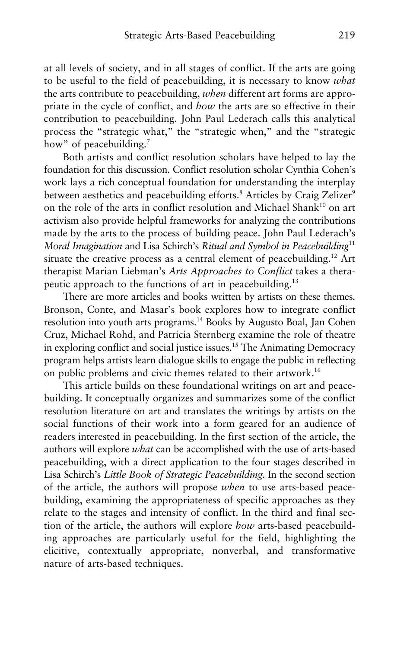at all levels of society, and in all stages of conflict. If the arts are going to be useful to the field of peacebuilding, it is necessary to know *what* the arts contribute to peacebuilding, *when* different art forms are appropriate in the cycle of conflict, and *how* the arts are so effective in their contribution to peacebuilding. John Paul Lederach calls this analytical process the "strategic what," the "strategic when," and the "strategic how" of peacebuilding.<sup>7</sup>

Both artists and conflict resolution scholars have helped to lay the foundation for this discussion. Conflict resolution scholar Cynthia Cohen's work lays a rich conceptual foundation for understanding the interplay between aesthetics and peacebuilding efforts.8 Articles by Craig Zelizer<sup>9</sup> on the role of the arts in conflict resolution and Michael Shank<sup>10</sup> on art activism also provide helpful frameworks for analyzing the contributions made by the arts to the process of building peace. John Paul Lederach's *Moral Imagination* and Lisa Schirch's *Ritual and Symbol in Peacebuilding*<sup>11</sup> situate the creative process as a central element of peacebuilding.<sup>12</sup> Art therapist Marian Liebman's *Arts Approaches to Conflict* takes a therapeutic approach to the functions of art in peacebuilding.13

There are more articles and books written by artists on these themes. Bronson, Conte, and Masar's book explores how to integrate conflict resolution into youth arts programs.14 Books by Augusto Boal, Jan Cohen Cruz, Michael Rohd, and Patricia Sternberg examine the role of theatre in exploring conflict and social justice issues.<sup>15</sup> The Animating Democracy program helps artists learn dialogue skills to engage the public in reflecting on public problems and civic themes related to their artwork.16

This article builds on these foundational writings on art and peacebuilding. It conceptually organizes and summarizes some of the conflict resolution literature on art and translates the writings by artists on the social functions of their work into a form geared for an audience of readers interested in peacebuilding. In the first section of the article, the authors will explore *what* can be accomplished with the use of arts-based peacebuilding, with a direct application to the four stages described in Lisa Schirch's *Little Book of Strategic Peacebuilding*. In the second section of the article, the authors will propose *when* to use arts-based peacebuilding, examining the appropriateness of specific approaches as they relate to the stages and intensity of conflict. In the third and final section of the article, the authors will explore *how* arts-based peacebuilding approaches are particularly useful for the field, highlighting the elicitive, contextually appropriate, nonverbal, and transformative nature of arts-based techniques.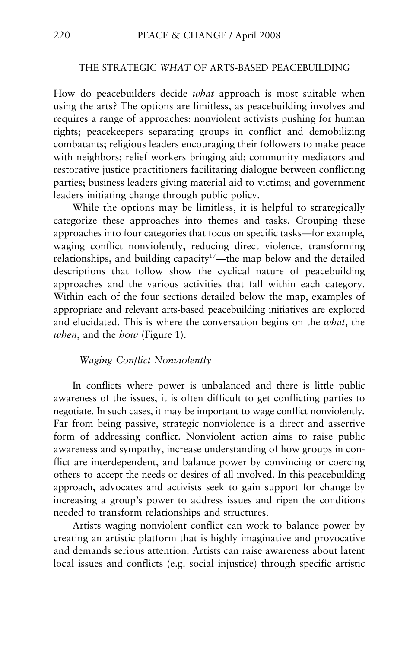## THE STRATEGIC *WHAT* OF ARTS-BASED PEACEBUILDING

How do peacebuilders decide *what* approach is most suitable when using the arts? The options are limitless, as peacebuilding involves and requires a range of approaches: nonviolent activists pushing for human rights; peacekeepers separating groups in conflict and demobilizing combatants; religious leaders encouraging their followers to make peace with neighbors; relief workers bringing aid; community mediators and restorative justice practitioners facilitating dialogue between conflicting parties; business leaders giving material aid to victims; and government leaders initiating change through public policy.

While the options may be limitless, it is helpful to strategically categorize these approaches into themes and tasks. Grouping these approaches into four categories that focus on specific tasks—for example, waging conflict nonviolently, reducing direct violence, transforming relationships, and building capacity<sup>17</sup>—the map below and the detailed descriptions that follow show the cyclical nature of peacebuilding approaches and the various activities that fall within each category. Within each of the four sections detailed below the map, examples of appropriate and relevant arts-based peacebuilding initiatives are explored and elucidated. This is where the conversation begins on the *what*, the *when*, and the *how* (Figure 1).

#### *Waging Conflict Nonviolently*

In conflicts where power is unbalanced and there is little public awareness of the issues, it is often difficult to get conflicting parties to negotiate. In such cases, it may be important to wage conflict nonviolently. Far from being passive, strategic nonviolence is a direct and assertive form of addressing conflict. Nonviolent action aims to raise public awareness and sympathy, increase understanding of how groups in conflict are interdependent, and balance power by convincing or coercing others to accept the needs or desires of all involved. In this peacebuilding approach, advocates and activists seek to gain support for change by increasing a group's power to address issues and ripen the conditions needed to transform relationships and structures.

Artists waging nonviolent conflict can work to balance power by creating an artistic platform that is highly imaginative and provocative and demands serious attention. Artists can raise awareness about latent local issues and conflicts (e.g. social injustice) through specific artistic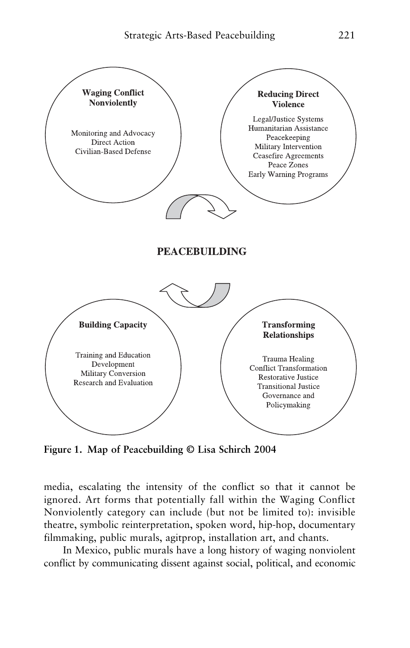

**Figure 1. Map of Peacebuilding © Lisa Schirch 2004**

media, escalating the intensity of the conflict so that it cannot be ignored. Art forms that potentially fall within the Waging Conflict Nonviolently category can include (but not be limited to): invisible theatre, symbolic reinterpretation, spoken word, hip-hop, documentary filmmaking, public murals, agitprop, installation art, and chants.

In Mexico, public murals have a long history of waging nonviolent conflict by communicating dissent against social, political, and economic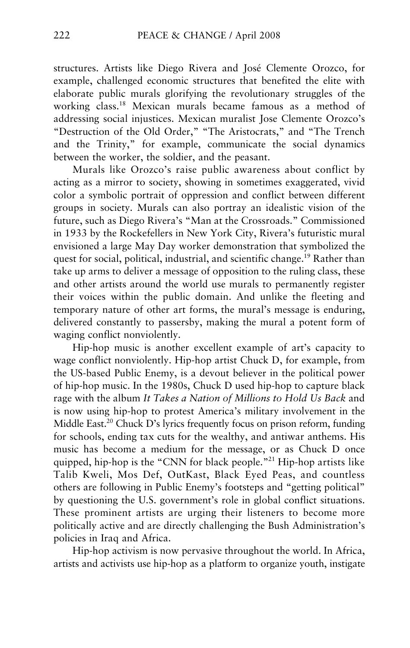structures. Artists like Diego Rivera and José Clemente Orozco, for example, challenged economic structures that benefited the elite with elaborate public murals glorifying the revolutionary struggles of the working class.<sup>18</sup> Mexican murals became famous as a method of addressing social injustices. Mexican muralist Jose Clemente Orozco's "Destruction of the Old Order," "The Aristocrats," and "The Trench and the Trinity," for example, communicate the social dynamics between the worker, the soldier, and the peasant.

Murals like Orozco's raise public awareness about conflict by acting as a mirror to society, showing in sometimes exaggerated, vivid color a symbolic portrait of oppression and conflict between different groups in society. Murals can also portray an idealistic vision of the future, such as Diego Rivera's "Man at the Crossroads." Commissioned in 1933 by the Rockefellers in New York City, Rivera's futuristic mural envisioned a large May Day worker demonstration that symbolized the quest for social, political, industrial, and scientific change.<sup>19</sup> Rather than take up arms to deliver a message of opposition to the ruling class, these and other artists around the world use murals to permanently register their voices within the public domain. And unlike the fleeting and temporary nature of other art forms, the mural's message is enduring, delivered constantly to passersby, making the mural a potent form of waging conflict nonviolently.

Hip-hop music is another excellent example of art's capacity to wage conflict nonviolently. Hip-hop artist Chuck D, for example, from the US-based Public Enemy, is a devout believer in the political power of hip-hop music. In the 1980s, Chuck D used hip-hop to capture black rage with the album *It Takes a Nation of Millions to Hold Us Back* and is now using hip-hop to protest America's military involvement in the Middle East.<sup>20</sup> Chuck D's lyrics frequently focus on prison reform, funding for schools, ending tax cuts for the wealthy, and antiwar anthems. His music has become a medium for the message, or as Chuck D once quipped, hip-hop is the "CNN for black people."21 Hip-hop artists like Talib Kweli, Mos Def, OutKast, Black Eyed Peas, and countless others are following in Public Enemy's footsteps and "getting political" by questioning the U.S. government's role in global conflict situations. These prominent artists are urging their listeners to become more politically active and are directly challenging the Bush Administration's policies in Iraq and Africa.

Hip-hop activism is now pervasive throughout the world. In Africa, artists and activists use hip-hop as a platform to organize youth, instigate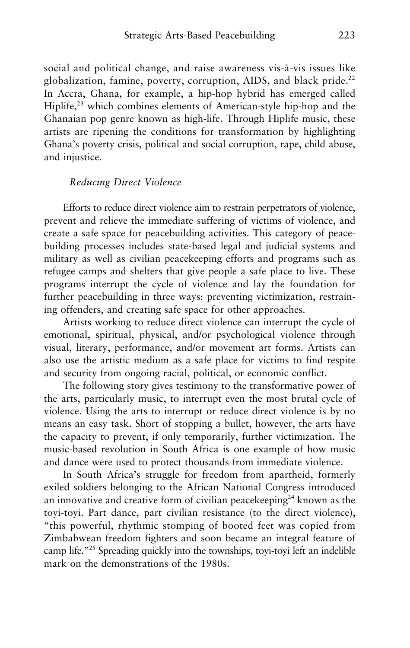social and political change, and raise awareness vis-à-vis issues like globalization, famine, poverty, corruption, AIDS, and black pride. $22$ In Accra, Ghana, for example, a hip-hop hybrid has emerged called Hiplife,<sup>23</sup> which combines elements of American-style hip-hop and the Ghanaian pop genre known as high-life. Through Hiplife music, these artists are ripening the conditions for transformation by highlighting Ghana's poverty crisis, political and social corruption, rape, child abuse, and injustice.

## *Reducing Direct Violence*

Efforts to reduce direct violence aim to restrain perpetrators of violence, prevent and relieve the immediate suffering of victims of violence, and create a safe space for peacebuilding activities. This category of peacebuilding processes includes state-based legal and judicial systems and military as well as civilian peacekeeping efforts and programs such as refugee camps and shelters that give people a safe place to live. These programs interrupt the cycle of violence and lay the foundation for further peacebuilding in three ways: preventing victimization, restraining offenders, and creating safe space for other approaches.

Artists working to reduce direct violence can interrupt the cycle of emotional, spiritual, physical, and/or psychological violence through visual, literary, performance, and/or movement art forms. Artists can also use the artistic medium as a safe place for victims to find respite and security from ongoing racial, political, or economic conflict.

The following story gives testimony to the transformative power of the arts, particularly music, to interrupt even the most brutal cycle of violence. Using the arts to interrupt or reduce direct violence is by no means an easy task. Short of stopping a bullet, however, the arts have the capacity to prevent, if only temporarily, further victimization. The music-based revolution in South Africa is one example of how music and dance were used to protect thousands from immediate violence.

In South Africa's struggle for freedom from apartheid, formerly exiled soldiers belonging to the African National Congress introduced an innovative and creative form of civilian peace keeping<sup>24</sup> known as the toyi-toyi. Part dance, part civilian resistance (to the direct violence), "this powerful, rhythmic stomping of booted feet was copied from Zimbabwean freedom fighters and soon became an integral feature of camp life."25 Spreading quickly into the townships, toyi-toyi left an indelible mark on the demonstrations of the 1980s.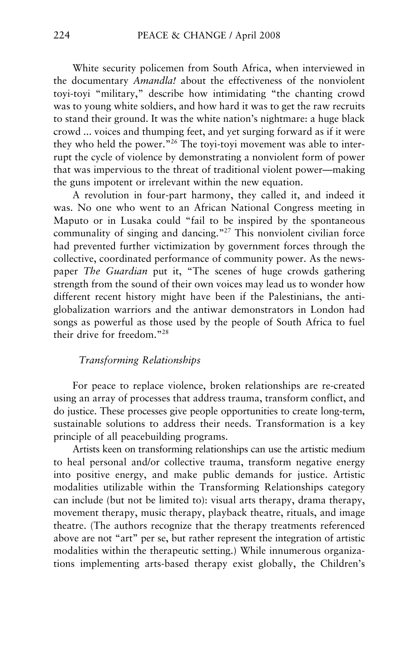White security policemen from South Africa, when interviewed in the documentary *Amandla!* about the effectiveness of the nonviolent toyi-toyi "military," describe how intimidating "the chanting crowd was to young white soldiers, and how hard it was to get the raw recruits to stand their ground. It was the white nation's nightmare: a huge black crowd ... voices and thumping feet, and yet surging forward as if it were they who held the power."26 The toyi-toyi movement was able to interrupt the cycle of violence by demonstrating a nonviolent form of power that was impervious to the threat of traditional violent power—making the guns impotent or irrelevant within the new equation.

A revolution in four-part harmony, they called it, and indeed it was. No one who went to an African National Congress meeting in Maputo or in Lusaka could "fail to be inspired by the spontaneous communality of singing and dancing."<sup>27</sup> This nonviolent civilian force had prevented further victimization by government forces through the collective, coordinated performance of community power. As the newspaper *The Guardian* put it, "The scenes of huge crowds gathering strength from the sound of their own voices may lead us to wonder how different recent history might have been if the Palestinians, the antiglobalization warriors and the antiwar demonstrators in London had songs as powerful as those used by the people of South Africa to fuel their drive for freedom."28

## *Transforming Relationships*

For peace to replace violence, broken relationships are re-created using an array of processes that address trauma, transform conflict, and do justice. These processes give people opportunities to create long-term, sustainable solutions to address their needs. Transformation is a key principle of all peacebuilding programs.

Artists keen on transforming relationships can use the artistic medium to heal personal and/or collective trauma, transform negative energy into positive energy, and make public demands for justice. Artistic modalities utilizable within the Transforming Relationships category can include (but not be limited to): visual arts therapy, drama therapy, movement therapy, music therapy, playback theatre, rituals, and image theatre. (The authors recognize that the therapy treatments referenced above are not "art" per se, but rather represent the integration of artistic modalities within the therapeutic setting.) While innumerous organizations implementing arts-based therapy exist globally, the Children's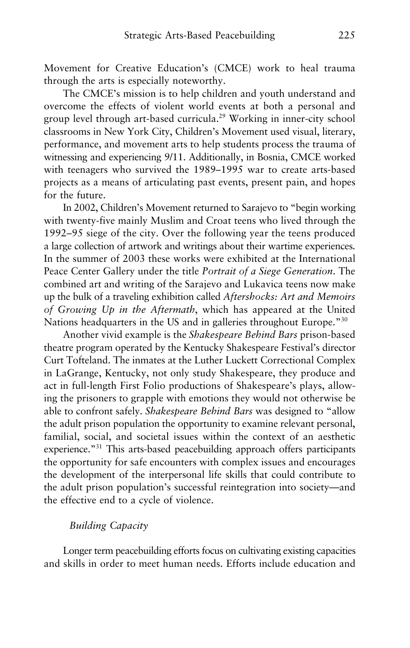Movement for Creative Education's (CMCE) work to heal trauma through the arts is especially noteworthy.

The CMCE's mission is to help children and youth understand and overcome the effects of violent world events at both a personal and group level through art-based curricula.29 Working in inner-city school classrooms in New York City, Children's Movement used visual, literary, performance, and movement arts to help students process the trauma of witnessing and experiencing 9/11. Additionally, in Bosnia, CMCE worked with teenagers who survived the 1989–1995 war to create arts-based projects as a means of articulating past events, present pain, and hopes for the future.

In 2002, Children's Movement returned to Sarajevo to "begin working with twenty-five mainly Muslim and Croat teens who lived through the 1992–95 siege of the city. Over the following year the teens produced a large collection of artwork and writings about their wartime experiences. In the summer of 2003 these works were exhibited at the International Peace Center Gallery under the title *Portrait of a Siege Generation*. The combined art and writing of the Sarajevo and Lukavica teens now make up the bulk of a traveling exhibition called *Aftershocks: Art and Memoirs of Growing Up in the Aftermath*, which has appeared at the United Nations headquarters in the US and in galleries throughout Europe."30

Another vivid example is the *Shakespeare Behind Bars* prison-based theatre program operated by the Kentucky Shakespeare Festival's director Curt Tofteland. The inmates at the Luther Luckett Correctional Complex in LaGrange, Kentucky, not only study Shakespeare, they produce and act in full-length First Folio productions of Shakespeare's plays, allowing the prisoners to grapple with emotions they would not otherwise be able to confront safely. *Shakespeare Behind Bars* was designed to "allow the adult prison population the opportunity to examine relevant personal, familial, social, and societal issues within the context of an aesthetic experience."<sup>31</sup> This arts-based peacebuilding approach offers participants the opportunity for safe encounters with complex issues and encourages the development of the interpersonal life skills that could contribute to the adult prison population's successful reintegration into society—and the effective end to a cycle of violence.

# *Building Capacity*

Longer term peacebuilding efforts focus on cultivating existing capacities and skills in order to meet human needs. Efforts include education and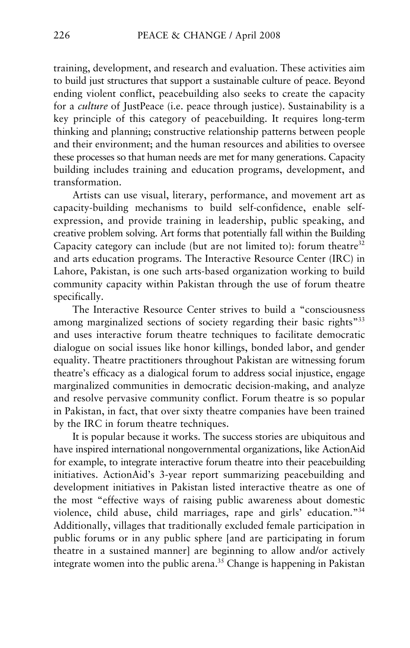training, development, and research and evaluation. These activities aim to build just structures that support a sustainable culture of peace. Beyond ending violent conflict, peacebuilding also seeks to create the capacity for a *culture* of JustPeace (i.e. peace through justice). Sustainability is a key principle of this category of peacebuilding. It requires long-term thinking and planning; constructive relationship patterns between people and their environment; and the human resources and abilities to oversee these processes so that human needs are met for many generations. Capacity building includes training and education programs, development, and transformation.

Artists can use visual, literary, performance, and movement art as capacity-building mechanisms to build self-confidence, enable selfexpression, and provide training in leadership, public speaking, and creative problem solving. Art forms that potentially fall within the Building Capacity category can include (but are not limited to): forum theatre $32$ and arts education programs. The Interactive Resource Center (IRC) in Lahore, Pakistan, is one such arts-based organization working to build community capacity within Pakistan through the use of forum theatre specifically.

The Interactive Resource Center strives to build a "consciousness among marginalized sections of society regarding their basic rights<sup>"33</sup> and uses interactive forum theatre techniques to facilitate democratic dialogue on social issues like honor killings, bonded labor, and gender equality. Theatre practitioners throughout Pakistan are witnessing forum theatre's efficacy as a dialogical forum to address social injustice, engage marginalized communities in democratic decision-making, and analyze and resolve pervasive community conflict. Forum theatre is so popular in Pakistan, in fact, that over sixty theatre companies have been trained by the IRC in forum theatre techniques.

It is popular because it works. The success stories are ubiquitous and have inspired international nongovernmental organizations, like ActionAid for example, to integrate interactive forum theatre into their peacebuilding initiatives. ActionAid's 3-year report summarizing peacebuilding and development initiatives in Pakistan listed interactive theatre as one of the most "effective ways of raising public awareness about domestic violence, child abuse, child marriages, rape and girls' education."34 Additionally, villages that traditionally excluded female participation in public forums or in any public sphere [and are participating in forum theatre in a sustained manner] are beginning to allow and/or actively integrate women into the public arena.<sup>35</sup> Change is happening in Pakistan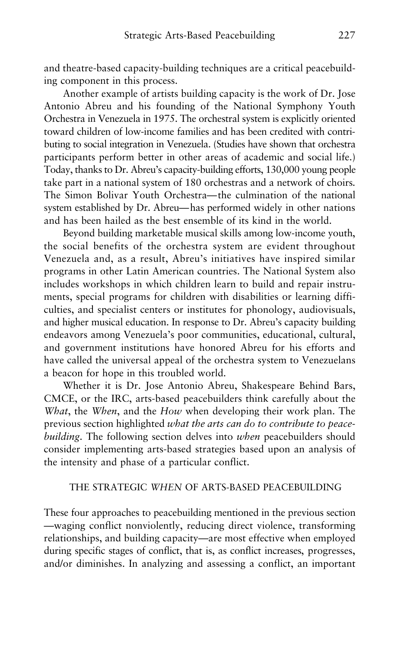and theatre-based capacity-building techniques are a critical peacebuilding component in this process.

Another example of artists building capacity is the work of Dr. Jose Antonio Abreu and his founding of the National Symphony Youth Orchestra in Venezuela in 1975. The orchestral system is explicitly oriented toward children of low-income families and has been credited with contributing to social integration in Venezuela. (Studies have shown that orchestra participants perform better in other areas of academic and social life.) Today, thanks to Dr. Abreu's capacity-building efforts, 130,000 young people take part in a national system of 180 orchestras and a network of choirs. The Simon Bolivar Youth Orchestra—the culmination of the national system established by Dr. Abreu—has performed widely in other nations and has been hailed as the best ensemble of its kind in the world.

Beyond building marketable musical skills among low-income youth, the social benefits of the orchestra system are evident throughout Venezuela and, as a result, Abreu's initiatives have inspired similar programs in other Latin American countries. The National System also includes workshops in which children learn to build and repair instruments, special programs for children with disabilities or learning difficulties, and specialist centers or institutes for phonology, audiovisuals, and higher musical education. In response to Dr. Abreu's capacity building endeavors among Venezuela's poor communities, educational, cultural, and government institutions have honored Abreu for his efforts and have called the universal appeal of the orchestra system to Venezuelans a beacon for hope in this troubled world.

Whether it is Dr. Jose Antonio Abreu, Shakespeare Behind Bars, CMCE, or the IRC, arts-based peacebuilders think carefully about the *What*, the *When*, and the *How* when developing their work plan. The previous section highlighted *what the arts can do to contribute to peacebuilding*. The following section delves into *when* peacebuilders should consider implementing arts-based strategies based upon an analysis of the intensity and phase of a particular conflict.

## THE STRATEGIC *WHEN* OF ARTS-BASED PEACEBUILDING

These four approaches to peacebuilding mentioned in the previous section —waging conflict nonviolently, reducing direct violence, transforming relationships, and building capacity—are most effective when employed during specific stages of conflict, that is, as conflict increases, progresses, and/or diminishes. In analyzing and assessing a conflict, an important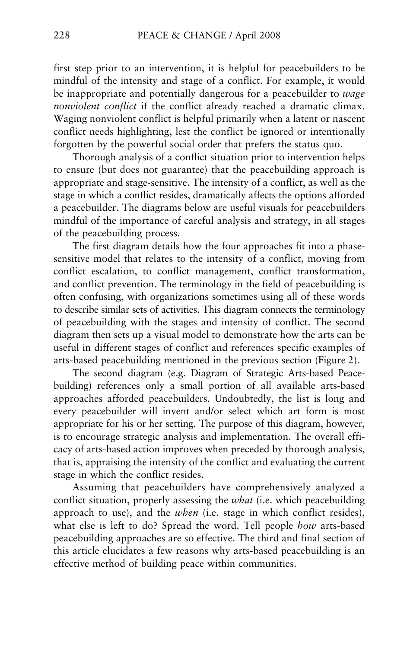first step prior to an intervention, it is helpful for peacebuilders to be mindful of the intensity and stage of a conflict. For example, it would be inappropriate and potentially dangerous for a peacebuilder to *wage nonviolent conflict* if the conflict already reached a dramatic climax. Waging nonviolent conflict is helpful primarily when a latent or nascent conflict needs highlighting, lest the conflict be ignored or intentionally forgotten by the powerful social order that prefers the status quo.

Thorough analysis of a conflict situation prior to intervention helps to ensure (but does not guarantee) that the peacebuilding approach is appropriate and stage-sensitive. The intensity of a conflict, as well as the stage in which a conflict resides, dramatically affects the options afforded a peacebuilder. The diagrams below are useful visuals for peacebuilders mindful of the importance of careful analysis and strategy, in all stages of the peacebuilding process.

The first diagram details how the four approaches fit into a phasesensitive model that relates to the intensity of a conflict, moving from conflict escalation, to conflict management, conflict transformation, and conflict prevention. The terminology in the field of peacebuilding is often confusing, with organizations sometimes using all of these words to describe similar sets of activities. This diagram connects the terminology of peacebuilding with the stages and intensity of conflict. The second diagram then sets up a visual model to demonstrate how the arts can be useful in different stages of conflict and references specific examples of arts-based peacebuilding mentioned in the previous section (Figure 2).

The second diagram (e.g. Diagram of Strategic Arts-based Peacebuilding) references only a small portion of all available arts-based approaches afforded peacebuilders. Undoubtedly, the list is long and every peacebuilder will invent and/or select which art form is most appropriate for his or her setting. The purpose of this diagram, however, is to encourage strategic analysis and implementation. The overall efficacy of arts-based action improves when preceded by thorough analysis, that is, appraising the intensity of the conflict and evaluating the current stage in which the conflict resides.

Assuming that peacebuilders have comprehensively analyzed a conflict situation, properly assessing the *what* (i.e. which peacebuilding approach to use), and the *when* (i.e. stage in which conflict resides), what else is left to do? Spread the word. Tell people *how* arts-based peacebuilding approaches are so effective. The third and final section of this article elucidates a few reasons why arts-based peacebuilding is an effective method of building peace within communities.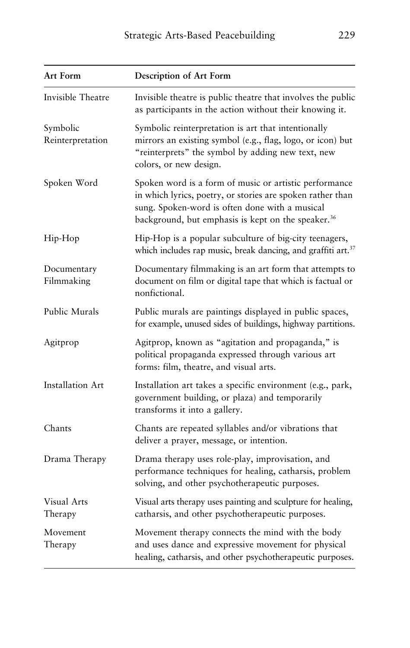| <b>Art Form</b>              | Description of Art Form                                                                                                                                                                                                                  |  |
|------------------------------|------------------------------------------------------------------------------------------------------------------------------------------------------------------------------------------------------------------------------------------|--|
| Invisible Theatre            | Invisible theatre is public theatre that involves the public<br>as participants in the action without their knowing it.                                                                                                                  |  |
| Symbolic<br>Reinterpretation | Symbolic reinterpretation is art that intentionally<br>mirrors an existing symbol (e.g., flag, logo, or icon) but<br>"reinterprets" the symbol by adding new text, new<br>colors, or new design.                                         |  |
| Spoken Word                  | Spoken word is a form of music or artistic performance<br>in which lyrics, poetry, or stories are spoken rather than<br>sung. Spoken-word is often done with a musical<br>background, but emphasis is kept on the speaker. <sup>36</sup> |  |
| Hip-Hop                      | Hip-Hop is a popular subculture of big-city teenagers,<br>which includes rap music, break dancing, and graffiti art. <sup>37</sup>                                                                                                       |  |
| Documentary<br>Filmmaking    | Documentary filmmaking is an art form that attempts to<br>document on film or digital tape that which is factual or<br>nonfictional.                                                                                                     |  |
| Public Murals                | Public murals are paintings displayed in public spaces,<br>for example, unused sides of buildings, highway partitions.                                                                                                                   |  |
| Agitprop                     | Agitprop, known as "agitation and propaganda," is<br>political propaganda expressed through various art<br>forms: film, theatre, and visual arts.                                                                                        |  |
| <b>Installation Art</b>      | Installation art takes a specific environment (e.g., park,<br>government building, or plaza) and temporarily<br>transforms it into a gallery.                                                                                            |  |
| Chants                       | Chants are repeated syllables and/or vibrations that<br>deliver a prayer, message, or intention.                                                                                                                                         |  |
| Drama Therapy                | Drama therapy uses role-play, improvisation, and<br>performance techniques for healing, catharsis, problem<br>solving, and other psychotherapeutic purposes.                                                                             |  |
| Visual Arts<br>Therapy       | Visual arts therapy uses painting and sculpture for healing,<br>catharsis, and other psychotherapeutic purposes.                                                                                                                         |  |
| Movement<br>Therapy          | Movement therapy connects the mind with the body<br>and uses dance and expressive movement for physical<br>healing, catharsis, and other psychotherapeutic purposes.                                                                     |  |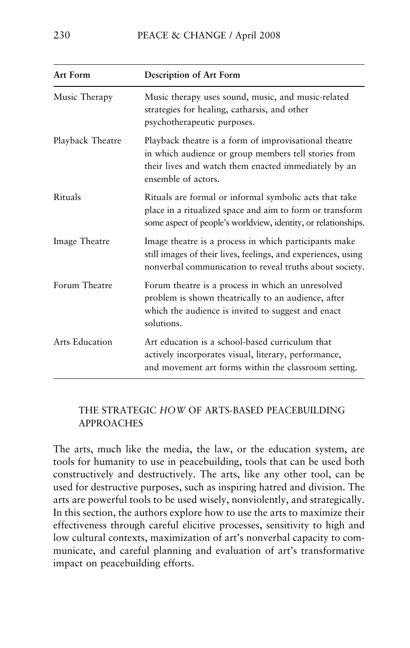| <b>Art Form</b>  | Description of Art Form                                                                                                                                                                      |
|------------------|----------------------------------------------------------------------------------------------------------------------------------------------------------------------------------------------|
| Music Therapy    | Music therapy uses sound, music, and music-related<br>strategies for healing, catharsis, and other<br>psychotherapeutic purposes.                                                            |
| Playback Theatre | Playback theatre is a form of improvisational theatre<br>in which audience or group members tell stories from<br>their lives and watch them enacted immediately by an<br>ensemble of actors. |
| Rituals          | Rituals are formal or informal symbolic acts that take<br>place in a ritualized space and aim to form or transform<br>some aspect of people's worldview, identity, or relationships.         |
| Image Theatre    | Image theatre is a process in which participants make<br>still images of their lives, feelings, and experiences, using<br>nonverbal communication to reveal truths about society.            |
| Forum Theatre    | Forum theatre is a process in which an unresolved<br>problem is shown theatrically to an audience, after<br>which the audience is invited to suggest and enact<br>solutions.                 |
| Arts Education   | Art education is a school-based curriculum that<br>actively incorporates visual, literary, performance,<br>and movement art forms within the classroom setting.                              |

# THE STRATEGIC *HOW* OF ARTS-BASED PEACEBUILDING APPROACHES

The arts, much like the media, the law, or the education system, are tools for humanity to use in peacebuilding, tools that can be used both constructively and destructively. The arts, like any other tool, can be used for destructive purposes, such as inspiring hatred and division. The arts are powerful tools to be used wisely, nonviolently, and strategically. In this section, the authors explore how to use the arts to maximize their effectiveness through careful elicitive processes, sensitivity to high and low cultural contexts, maximization of art's nonverbal capacity to communicate, and careful planning and evaluation of art's transformative impact on peacebuilding efforts.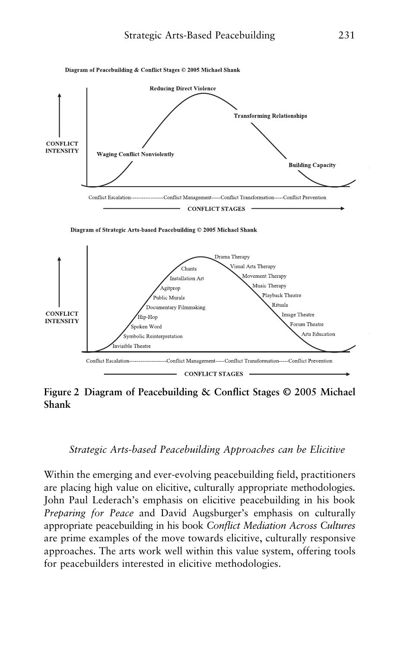

**Figure 2 Diagram of Peacebuilding & Conflict Stages © 2005 Michael Shank**

## *Strategic Arts-based Peacebuilding Approaches can be Elicitive*

Within the emerging and ever-evolving peacebuilding field, practitioners are placing high value on elicitive, culturally appropriate methodologies. John Paul Lederach's emphasis on elicitive peacebuilding in his book *Preparing for Peace* and David Augsburger's emphasis on culturally appropriate peacebuilding in his book *Conflict Mediation Across Cultures* are prime examples of the move towards elicitive, culturally responsive approaches. The arts work well within this value system, offering tools for peacebuilders interested in elicitive methodologies.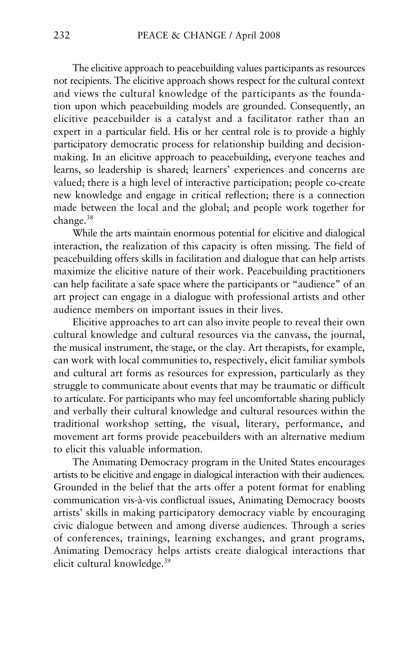The elicitive approach to peacebuilding values participants as resources not recipients. The elicitive approach shows respect for the cultural context and views the cultural knowledge of the participants as the foundation upon which peacebuilding models are grounded. Consequently, an elicitive peacebuilder is a catalyst and a facilitator rather than an expert in a particular field. His or her central role is to provide a highly participatory democratic process for relationship building and decisionmaking. In an elicitive approach to peacebuilding, everyone teaches and learns, so leadership is shared; learners' experiences and concerns are valued; there is a high level of interactive participation; people co-create new knowledge and engage in critical reflection; there is a connection made between the local and the global; and people work together for change.<sup>38</sup>

While the arts maintain enormous potential for elicitive and dialogical interaction, the realization of this capacity is often missing. The field of peacebuilding offers skills in facilitation and dialogue that can help artists maximize the elicitive nature of their work. Peacebuilding practitioners can help facilitate a safe space where the participants or "audience" of an art project can engage in a dialogue with professional artists and other audience members on important issues in their lives.

Elicitive approaches to art can also invite people to reveal their own cultural knowledge and cultural resources via the canvass, the journal, the musical instrument, the stage, or the clay. Art therapists, for example, can work with local communities to, respectively, elicit familiar symbols and cultural art forms as resources for expression, particularly as they struggle to communicate about events that may be traumatic or difficult to articulate. For participants who may feel uncomfortable sharing publicly and verbally their cultural knowledge and cultural resources within the traditional workshop setting, the visual, literary, performance, and movement art forms provide peacebuilders with an alternative medium to elicit this valuable information.

The Animating Democracy program in the United States encourages artists to be elicitive and engage in dialogical interaction with their audiences. Grounded in the belief that the arts offer a potent format for enabling communication vis-à-vis conflictual issues, Animating Democracy boosts artists' skills in making participatory democracy viable by encouraging civic dialogue between and among diverse audiences. Through a series of conferences, trainings, learning exchanges, and grant programs, Animating Democracy helps artists create dialogical interactions that elicit cultural knowledge.39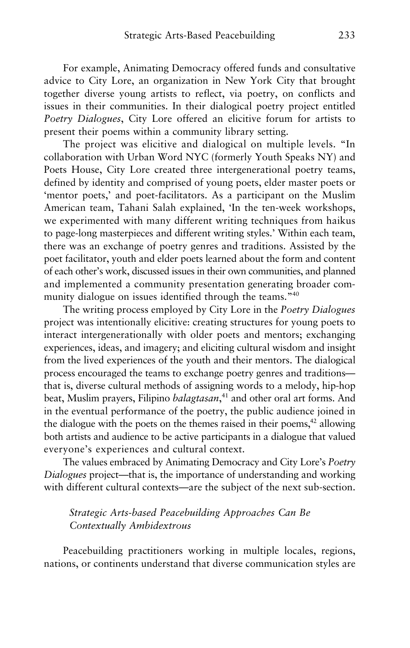For example, Animating Democracy offered funds and consultative advice to City Lore, an organization in New York City that brought together diverse young artists to reflect, via poetry, on conflicts and issues in their communities. In their dialogical poetry project entitled *Poetry Dialogues*, City Lore offered an elicitive forum for artists to present their poems within a community library setting.

The project was elicitive and dialogical on multiple levels. "In collaboration with Urban Word NYC (formerly Youth Speaks NY) and Poets House, City Lore created three intergenerational poetry teams, defined by identity and comprised of young poets, elder master poets or 'mentor poets,' and poet-facilitators. As a participant on the Muslim American team, Tahani Salah explained, 'In the ten-week workshops, we experimented with many different writing techniques from haikus to page-long masterpieces and different writing styles.' Within each team, there was an exchange of poetry genres and traditions. Assisted by the poet facilitator, youth and elder poets learned about the form and content of each other's work, discussed issues in their own communities, and planned and implemented a community presentation generating broader community dialogue on issues identified through the teams."<sup>40</sup>

The writing process employed by City Lore in the *Poetry Dialogues* project was intentionally elicitive: creating structures for young poets to interact intergenerationally with older poets and mentors; exchanging experiences, ideas, and imagery; and eliciting cultural wisdom and insight from the lived experiences of the youth and their mentors. The dialogical process encouraged the teams to exchange poetry genres and traditions that is, diverse cultural methods of assigning words to a melody, hip-hop beat, Muslim prayers, Filipino *balagtasan*, 41 and other oral art forms. And in the eventual performance of the poetry, the public audience joined in the dialogue with the poets on the themes raised in their poems,<sup>42</sup> allowing both artists and audience to be active participants in a dialogue that valued everyone's experiences and cultural context.

The values embraced by Animating Democracy and City Lore's *Poetry Dialogues* project—that is, the importance of understanding and working with different cultural contexts—are the subject of the next sub-section.

*Strategic Arts-based Peacebuilding Approaches Can Be Contextually Ambidextrous*

Peacebuilding practitioners working in multiple locales, regions, nations, or continents understand that diverse communication styles are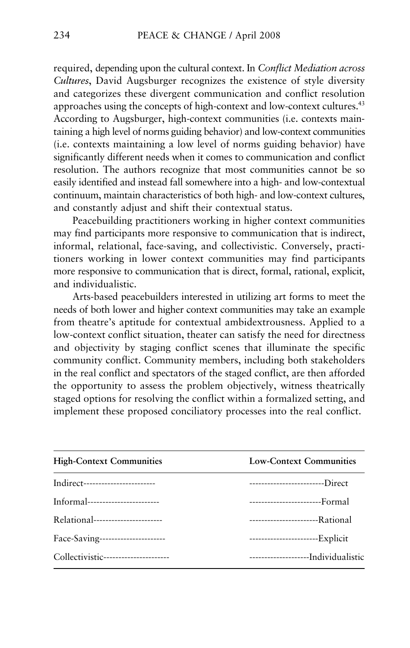required, depending upon the cultural context. In *Conflict Mediation across Cultures*, David Augsburger recognizes the existence of style diversity and categorizes these divergent communication and conflict resolution approaches using the concepts of high-context and low-context cultures.43 According to Augsburger, high-context communities (i.e. contexts maintaining a high level of norms guiding behavior) and low-context communities (i.e. contexts maintaining a low level of norms guiding behavior) have significantly different needs when it comes to communication and conflict resolution. The authors recognize that most communities cannot be so easily identified and instead fall somewhere into a high- and low-contextual continuum, maintain characteristics of both high- and low-context cultures, and constantly adjust and shift their contextual status.

Peacebuilding practitioners working in higher context communities may find participants more responsive to communication that is indirect, informal, relational, face-saving, and collectivistic. Conversely, practitioners working in lower context communities may find participants more responsive to communication that is direct, formal, rational, explicit, and individualistic.

Arts-based peacebuilders interested in utilizing art forms to meet the needs of both lower and higher context communities may take an example from theatre's aptitude for contextual ambidextrousness. Applied to a low-context conflict situation, theater can satisfy the need for directness and objectivity by staging conflict scenes that illuminate the specific community conflict. Community members, including both stakeholders in the real conflict and spectators of the staged conflict, are then afforded the opportunity to assess the problem objectively, witness theatrically staged options for resolving the conflict within a formalized setting, and implement these proposed conciliatory processes into the real conflict.

| <b>High-Context Communities</b>      | <b>Low-Context Communities</b>        |  |
|--------------------------------------|---------------------------------------|--|
| Indirect-------------------------    | -------------------------Direct       |  |
| Informal------------------------     | -----------------------Formal         |  |
| Relational-----------------------    | -------------------------Rational     |  |
| Face-Saving-----------------------   | ------------------------Explicit      |  |
| Collectivistic---------------------- | ----------------------Individualistic |  |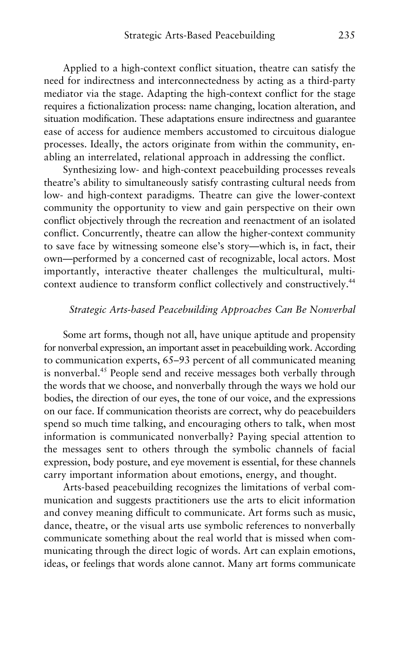Applied to a high-context conflict situation, theatre can satisfy the need for indirectness and interconnectedness by acting as a third-party mediator via the stage. Adapting the high-context conflict for the stage requires a fictionalization process: name changing, location alteration, and situation modification. These adaptations ensure indirectness and guarantee ease of access for audience members accustomed to circuitous dialogue processes. Ideally, the actors originate from within the community, enabling an interrelated, relational approach in addressing the conflict.

Synthesizing low- and high-context peacebuilding processes reveals theatre's ability to simultaneously satisfy contrasting cultural needs from low- and high-context paradigms. Theatre can give the lower-context community the opportunity to view and gain perspective on their own conflict objectively through the recreation and reenactment of an isolated conflict. Concurrently, theatre can allow the higher-context community to save face by witnessing someone else's story—which is, in fact, their own—performed by a concerned cast of recognizable, local actors. Most importantly, interactive theater challenges the multicultural, multicontext audience to transform conflict collectively and constructively.<sup>44</sup>

# *Strategic Arts-based Peacebuilding Approaches Can Be Nonverbal*

Some art forms, though not all, have unique aptitude and propensity for nonverbal expression, an important asset in peacebuilding work. According to communication experts, 65–93 percent of all communicated meaning is nonverbal.<sup>45</sup> People send and receive messages both verbally through the words that we choose, and nonverbally through the ways we hold our bodies, the direction of our eyes, the tone of our voice, and the expressions on our face. If communication theorists are correct, why do peacebuilders spend so much time talking, and encouraging others to talk, when most information is communicated nonverbally? Paying special attention to the messages sent to others through the symbolic channels of facial expression, body posture, and eye movement is essential, for these channels carry important information about emotions, energy, and thought.

Arts-based peacebuilding recognizes the limitations of verbal communication and suggests practitioners use the arts to elicit information and convey meaning difficult to communicate. Art forms such as music, dance, theatre, or the visual arts use symbolic references to nonverbally communicate something about the real world that is missed when communicating through the direct logic of words. Art can explain emotions, ideas, or feelings that words alone cannot. Many art forms communicate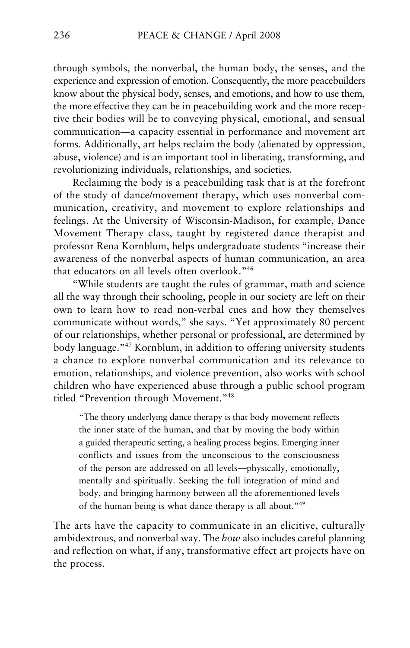through symbols, the nonverbal, the human body, the senses, and the experience and expression of emotion. Consequently, the more peacebuilders know about the physical body, senses, and emotions, and how to use them, the more effective they can be in peacebuilding work and the more receptive their bodies will be to conveying physical, emotional, and sensual communication—a capacity essential in performance and movement art forms. Additionally, art helps reclaim the body (alienated by oppression, abuse, violence) and is an important tool in liberating, transforming, and revolutionizing individuals, relationships, and societies.

Reclaiming the body is a peacebuilding task that is at the forefront of the study of dance/movement therapy, which uses nonverbal communication, creativity, and movement to explore relationships and feelings. At the University of Wisconsin-Madison, for example, Dance Movement Therapy class, taught by registered dance therapist and professor Rena Kornblum, helps undergraduate students "increase their awareness of the nonverbal aspects of human communication, an area that educators on all levels often overlook."46

"While students are taught the rules of grammar, math and science all the way through their schooling, people in our society are left on their own to learn how to read non-verbal cues and how they themselves communicate without words," she says. "Yet approximately 80 percent of our relationships, whether personal or professional, are determined by body language."47 Kornblum, in addition to offering university students a chance to explore nonverbal communication and its relevance to emotion, relationships, and violence prevention, also works with school children who have experienced abuse through a public school program titled "Prevention through Movement."<sup>48</sup>

"The theory underlying dance therapy is that body movement reflects the inner state of the human, and that by moving the body within a guided therapeutic setting, a healing process begins. Emerging inner conflicts and issues from the unconscious to the consciousness of the person are addressed on all levels—physically, emotionally, mentally and spiritually. Seeking the full integration of mind and body, and bringing harmony between all the aforementioned levels of the human being is what dance therapy is all about."49

The arts have the capacity to communicate in an elicitive, culturally ambidextrous, and nonverbal way. The *how* also includes careful planning and reflection on what, if any, transformative effect art projects have on the process.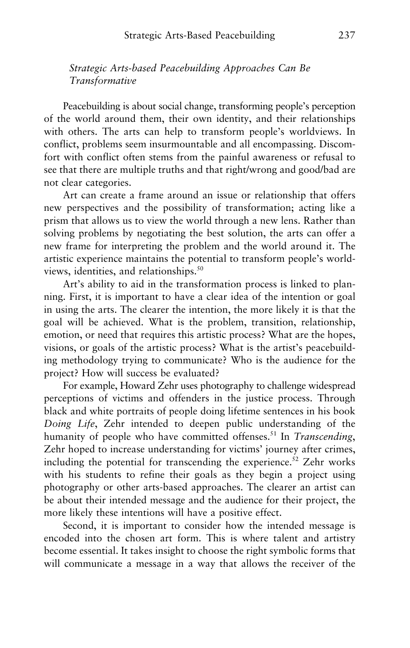# *Strategic Arts-based Peacebuilding Approaches Can Be Transformative*

Peacebuilding is about social change, transforming people's perception of the world around them, their own identity, and their relationships with others. The arts can help to transform people's worldviews. In conflict, problems seem insurmountable and all encompassing. Discomfort with conflict often stems from the painful awareness or refusal to see that there are multiple truths and that right/wrong and good/bad are not clear categories.

Art can create a frame around an issue or relationship that offers new perspectives and the possibility of transformation; acting like a prism that allows us to view the world through a new lens. Rather than solving problems by negotiating the best solution, the arts can offer a new frame for interpreting the problem and the world around it. The artistic experience maintains the potential to transform people's worldviews, identities, and relationships.<sup>50</sup>

Art's ability to aid in the transformation process is linked to planning. First, it is important to have a clear idea of the intention or goal in using the arts. The clearer the intention, the more likely it is that the goal will be achieved. What is the problem, transition, relationship, emotion, or need that requires this artistic process? What are the hopes, visions, or goals of the artistic process? What is the artist's peacebuilding methodology trying to communicate? Who is the audience for the project? How will success be evaluated?

For example, Howard Zehr uses photography to challenge widespread perceptions of victims and offenders in the justice process. Through black and white portraits of people doing lifetime sentences in his book *Doing Life*, Zehr intended to deepen public understanding of the humanity of people who have committed offenses.<sup>51</sup> In *Transcending*, Zehr hoped to increase understanding for victims' journey after crimes, including the potential for transcending the experience.<sup>52</sup> Zehr works with his students to refine their goals as they begin a project using photography or other arts-based approaches. The clearer an artist can be about their intended message and the audience for their project, the more likely these intentions will have a positive effect.

Second, it is important to consider how the intended message is encoded into the chosen art form. This is where talent and artistry become essential. It takes insight to choose the right symbolic forms that will communicate a message in a way that allows the receiver of the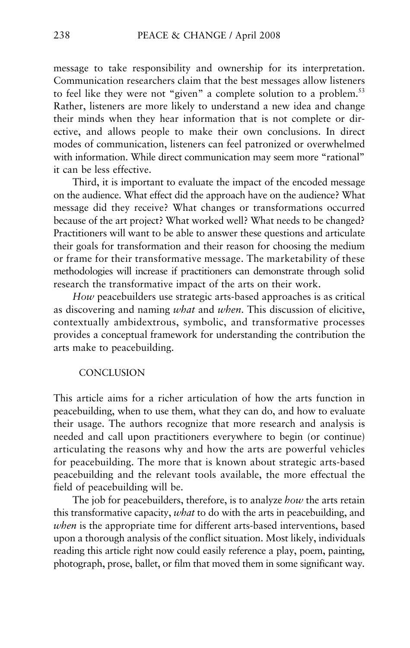message to take responsibility and ownership for its interpretation. Communication researchers claim that the best messages allow listeners to feel like they were not "given" a complete solution to a problem.<sup>53</sup> Rather, listeners are more likely to understand a new idea and change their minds when they hear information that is not complete or directive, and allows people to make their own conclusions. In direct modes of communication, listeners can feel patronized or overwhelmed with information. While direct communication may seem more "rational" it can be less effective.

Third, it is important to evaluate the impact of the encoded message on the audience. What effect did the approach have on the audience? What message did they receive? What changes or transformations occurred because of the art project? What worked well? What needs to be changed? Practitioners will want to be able to answer these questions and articulate their goals for transformation and their reason for choosing the medium or frame for their transformative message. The marketability of these methodologies will increase if practitioners can demonstrate through solid research the transformative impact of the arts on their work.

*How* peacebuilders use strategic arts-based approaches is as critical as discovering and naming *what* and *when*. This discussion of elicitive, contextually ambidextrous, symbolic, and transformative processes provides a conceptual framework for understanding the contribution the arts make to peacebuilding.

# **CONCLUSION**

This article aims for a richer articulation of how the arts function in peacebuilding, when to use them, what they can do, and how to evaluate their usage. The authors recognize that more research and analysis is needed and call upon practitioners everywhere to begin (or continue) articulating the reasons why and how the arts are powerful vehicles for peacebuilding. The more that is known about strategic arts-based peacebuilding and the relevant tools available, the more effectual the field of peacebuilding will be.

The job for peacebuilders, therefore, is to analyze *how* the arts retain this transformative capacity, *what* to do with the arts in peacebuilding, and *when* is the appropriate time for different arts-based interventions, based upon a thorough analysis of the conflict situation. Most likely, individuals reading this article right now could easily reference a play, poem, painting, photograph, prose, ballet, or film that moved them in some significant way.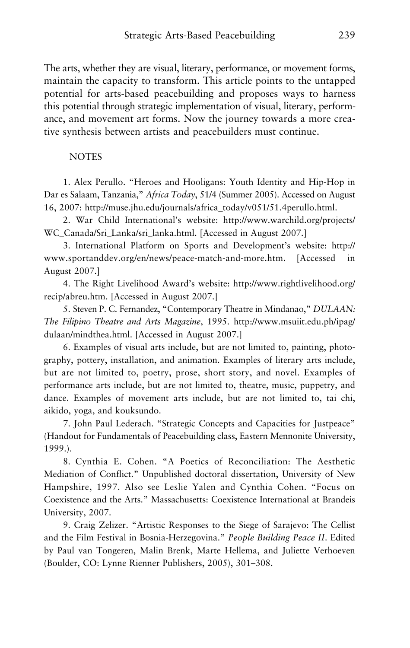The arts, whether they are visual, literary, performance, or movement forms, maintain the capacity to transform. This article points to the untapped potential for arts-based peacebuilding and proposes ways to harness this potential through strategic implementation of visual, literary, performance, and movement art forms. Now the journey towards a more creative synthesis between artists and peacebuilders must continue.

## NOTES

1. Alex Perullo. "Heroes and Hooligans: Youth Identity and Hip-Hop in Dar es Salaam, Tanzania," *Africa Today*, 51/4 (Summer 2005). Accessed on August 16, 2007: [http://muse.jhu.edu/journals/africa\\_today/v051/51.4perullo.html.](http://muse.jhu.edu/journals/africa_today/v051/51.4perullo.html)

[2. War Child International's website: http://www.warchild.org/projects/](http://www.warchild.org/projects/WC_Canada/Sri_Lanka/sri_lanka.html) WC\_Canada/Sri\_Lanka/sri\_lanka.html. [Accessed in August 2007.]

3. International Platform on Sports and Development's website: http:// [www.sportanddev.org/en/news/peace-match-and-more.htm. \[Accessed in](http://www.sportanddev.org/en/news/peace-match-and-more.htm) August 2007.]

[4. The Right Livelihood Award's website: http://www.rightlivelihood.org/](http://www.rightlivelihood.org/recip/abreu.htm) recip/abreu.htm. [Accessed in August 2007.]

5. Steven P. C. Fernandez, "Contemporary Theatre in Mindanao," *DULAAN: The Filipino Theatre and Arts Magazine*, 1995. http://www.msuiit.edu.ph/ipag/ [dulaan/mindthea.html. \[Accessed in August 2007.\]](http://www.msuiit.edu.ph/ipag/dulaan/mindthea.html)

6. Examples of visual arts include, but are not limited to, painting, photography, pottery, installation, and animation. Examples of literary arts include, but are not limited to, poetry, prose, short story, and novel. Examples of performance arts include, but are not limited to, theatre, music, puppetry, and dance. Examples of movement arts include, but are not limited to, tai chi, aikido, yoga, and kouksundo.

7. John Paul Lederach. "Strategic Concepts and Capacities for Justpeace" (Handout for Fundamentals of Peacebuilding class, Eastern Mennonite University, 1999.).

8. Cynthia E. Cohen. "A Poetics of Reconciliation: The Aesthetic Mediation of Conflict." Unpublished doctoral dissertation, University of New Hampshire, 1997. Also see Leslie Yalen and Cynthia Cohen. "Focus on Coexistence and the Arts." Massachusetts: Coexistence International at Brandeis University, 2007.

9. Craig Zelizer. "Artistic Responses to the Siege of Sarajevo: The Cellist and the Film Festival in Bosnia-Herzegovina." *People Building Peace II*. Edited by Paul van Tongeren, Malin Brenk, Marte Hellema, and Juliette Verhoeven (Boulder, CO: Lynne Rienner Publishers, 2005), 301–308.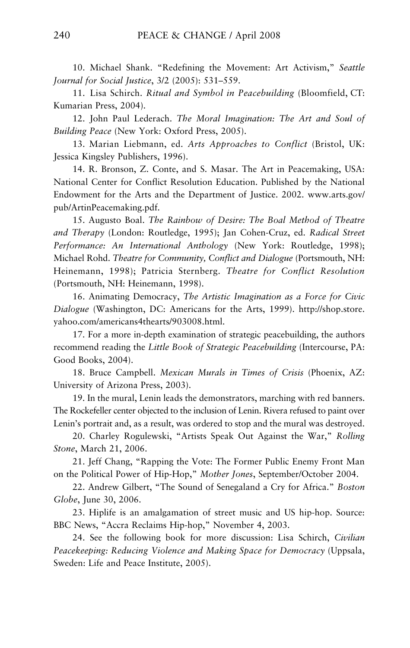10. Michael Shank. "Redefining the Movement: Art Activism," *Seattle Journal for Social Justice*, 3/2 (2005): 531–559.

11. Lisa Schirch. *Ritual and Symbol in Peacebuilding* (Bloomfield, CT: Kumarian Press, 2004).

12. John Paul Lederach. *The Moral Imagination: The Art and Soul of Building Peace* (New York: Oxford Press, 2005).

13. Marian Liebmann, ed. *Arts Approaches to Conflict* (Bristol, UK: Jessica Kingsley Publishers, 1996).

14. R. Bronson, Z. Conte, and S. Masar. The Art in Peacemaking, USA: National Center for Conflict Resolution Education. Published by the National [Endowment for the Arts and the Department of Justice. 2002. www.arts.gov/](www.arts.gov/pub/ArtinPeacemaking.pdf) pub/ArtinPeacemaking.pdf.

15. Augusto Boal. *The Rainbow of Desire: The Boal Method of Theatre and Therapy* (London: Routledge, 1995); Jan Cohen-Cruz, ed. *Radical Street Performance: An International Anthology* (New York: Routledge, 1998); Michael Rohd. *Theatre for Community, Conflict and Dialogue* (Portsmouth, NH: Heinemann, 1998); Patricia Sternberg. *Theatre for Conflict Resolution* (Portsmouth, NH: Heinemann, 1998).

16. Animating Democracy, *The Artistic Imagination as a Force for Civic Dialogue* [\(Washington, DC: Americans for the Arts, 1999\). http://shop.store.](http://shop.store.yahoo.com/americans4thearts/903008.html) yahoo.com/americans4thearts/903008.html.

17. For a more in-depth examination of strategic peacebuilding, the authors recommend reading the *Little Book of Strategic Peacebuilding* (Intercourse, PA: Good Books, 2004).

18. Bruce Campbell. *Mexican Murals in Times of Crisis* (Phoenix, AZ: University of Arizona Press, 2003).

19. In the mural, Lenin leads the demonstrators, marching with red banners. The Rockefeller center objected to the inclusion of Lenin. Rivera refused to paint over Lenin's portrait and, as a result, was ordered to stop and the mural was destroyed.

20. Charley Rogulewski, "Artists Speak Out Against the War," *Rolling Stone*, March 21, 2006.

21. Jeff Chang, "Rapping the Vote: The Former Public Enemy Front Man on the Political Power of Hip-Hop," *Mother Jones*, September/October 2004.

22. Andrew Gilbert, "The Sound of Senegaland a Cry for Africa." *Boston Globe*, June 30, 2006.

23. Hiplife is an amalgamation of street music and US hip-hop. Source: BBC News, "Accra Reclaims Hip-hop," November 4, 2003.

24. See the following book for more discussion: Lisa Schirch, *Civilian Peacekeeping: Reducing Violence and Making Space for Democracy* (Uppsala, Sweden: Life and Peace Institute, 2005).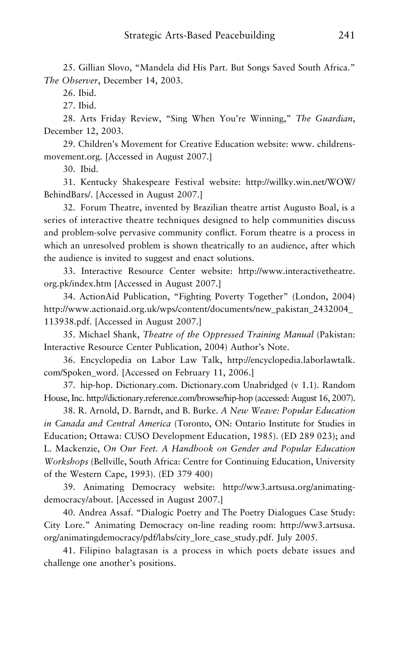25. Gillian Slovo, "Mandela did His Part. But Songs Saved South Africa." *The Observer*, December 14, 2003.

26. Ibid.

27. Ibid.

28. Arts Friday Review, "Sing When You're Winning," *The Guardian*, December 12, 2003.

[29. Children's Movement for Creative Education website: www. childrens](www. childrens-movement.org)movement.org. [Accessed in August 2007.]

30. Ibid.

[31. Kentucky Shakespeare Festival website: http://willky.win.net/WOW/](http://willky.win.net/WOW/BehindBars/) BehindBars/. [Accessed in August 2007.]

32. Forum Theatre, invented by Brazilian theatre artist Augusto Boal, is a series of interactive theatre techniques designed to help communities discuss and problem-solve pervasive community conflict. Forum theatre is a process in which an unresolved problem is shown theatrically to an audience, after which the audience is invited to suggest and enact solutions.

[33. Interactive Resource Center website: http://www.interactivetheatre.](http://www.interactivetheatre.org.pk/index.htm) org.pk/index.htm [Accessed in August 2007.]

34. ActionAid Publication, "Fighting Poverty Together" (London, 2004) [http://www.actionaid.org.uk/wps/content/documents/new\\_pakistan\\_2432004\\_](http://www.actionaid.org.uk/wps/content/documents/new_pakistan_2432004_113938.pdf) 113938.pdf. [Accessed in August 2007.]

35. Michael Shank, *Theatre of the Oppressed Training Manual* (Pakistan: Interactive Resource Center Publication, 2004) Author's Note.

[36. Encyclopedia on Labor Law Talk, http://encyclopedia.laborlawtalk.](http://encyclopedia.laborlawtalk.com/Spoken_word) com/Spoken\_word. [Accessed on February 11, 2006.]

37. hip-hop. Dictionary.com. Dictionary.com Unabridged (v 1.1). Random House, Inc[. http://dictionary.reference.com/browse/hip-hop](http://dictionary.reference.com/browse/hip-hop) (accessed: August 16, 2007).

38. R. Arnold, D. Barndt, and B. Burke. *A New Weave: Popular Education in Canada and Central America* (Toronto, ON: Ontario Institute for Studies in Education; Ottawa: CUSO Development Education, 1985). (ED 289 023); and L. Mackenzie, *On Our Feet. A Handbook on Gender and Popular Education Workshops* (Bellville, South Africa: Centre for Continuing Education, University of the Western Cape, 1993). (ED 379 400)

[39. Animating Democracy website: http://ww3.artsusa.org/animating](http://ww3.artsusa.org/animating-democracy/about)democracy/about. [Accessed in August 2007.]

40. Andrea Assaf. "Dialogic Poetry and The Poetry Dialogues Case Study: [City Lore." Animating Democracy on-line reading room: http://ww3.artsusa.](http://ww3.artsusa.org/animatingdemocracy/pdf/labs/city_lore_case_study.pdf) org/animatingdemocracy/pdf/labs/city\_lore\_case\_study.pdf. July 2005.

41. Filipino balagtasan is a process in which poets debate issues and challenge one another's positions.